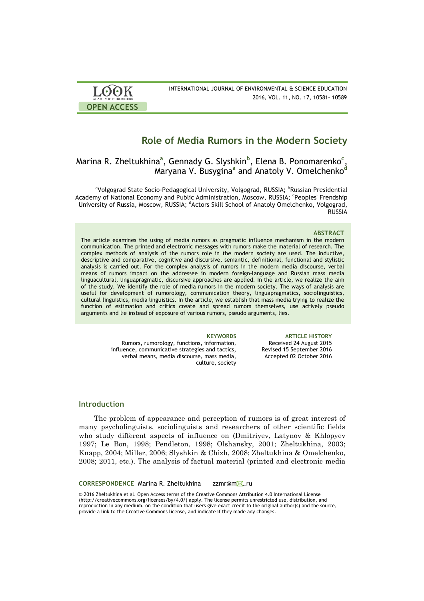| <b>LOOK</b>         | INTERNATIONAL JOURNAL OF ENVIRONMENTAL & SCIENCE EDUCATION |
|---------------------|------------------------------------------------------------|
| ACADEMIC PUBLISHERS | 2016, VOL. 11, NO. 17, 10581- 10589                        |
| <b>OPEN ACCESS</b>  |                                                            |

# **Role of Media Rumors in the Modern Society**

### Marina R. Zheltukhina**<sup>a</sup>** , Gennady G. Slyshkin**<sup>b</sup>** , Elena B. Ponomarenko**<sup>c</sup>** , Maryana V. Busygina**<sup>a</sup>** and Anatoly V. Omelchenko**<sup>d</sup>**

<sup>a</sup>Volgograd State Socio-Pedagogical University, Volgograd, RUSSIA; <sup>b</sup>Russian Presidential Academy of National Economy and Public Administration, Moscow, RUSSIA; 'Peoples' Frendship University of Russia, Moscow, RUSSIA; <sup>d</sup>Actors Skill School of Anatoly Omelchenko, Volgograd, RUSSIA

### **ABSTRACT**

The article examines the using of media rumors as pragmatic influence mechanism in the modern communication. The printed and electronic messages with rumors make the material of research. The complex methods of analysis of the rumors role in the modern society are used. The inductive, descriptive and comparative, cognitive and discursive, semantic, definitional, functional and stylistic analysis is carried out. For the complex analysis of rumors in the modern media discourse, verbal means of rumors impact on the addressee in modern foreign-language and Russian mass media linguacultural, linguapragmatic, discursive approaches are applied. In the article, we realize the aim of the study. We identify the role of media rumors in the modern society. The ways of analysis are useful for development of rumorology, communication theory, linguapragmatics, sociolinguistics, cultural linguistics, media linguistics. In the article, we establish that mass media trying to realize the function of estimation and critics create and spread rumors themselves, use actively pseudo arguments and lie instead of exposure of various rumors, pseudo arguments, lies.

> Rumors, rumorology, functions, information, influence, communicative strategies and tactics, verbal means, media discourse, mass media, culture, society

**KEYWORDS ARTICLE HISTORY** Received 24 August 2015 Revised 15 September 2016 Accepted 02 October 2016

### **Introduction**

The problem of appearance and perception of rumors is of great interest of many psycholinguists, sociolinguists and researchers of other scientific fields who study different aspects of influence on (Dmitriyev, Latynov & Khlopyev 1997; Le Bon, 1998; Pendleton, 1998; Olshansky, 2001; Zheltukhina, 2003; Knapp, 2004; Miller, 2006; Slyshkin & Chizh, 2008; Zheltukhina & Omelchenko, 2008; 2011, etc.). The analysis of factual material (printed and electronic media

### **CORRESPONDENCE Marina R. Zheltukhina zzmr@mM.ru**

© 2016 Zheltukhina et al. Open Access terms of the Creative Commons Attribution 4.0 International License (http://creativecommons.org/licenses/by/4.0/) apply. The license permits unrestricted use, distribution, and reproduction in any medium, on the condition that users give exact credit to the original author(s) and the source, provide a link to the Creative Commons license, and indicate if they made any changes.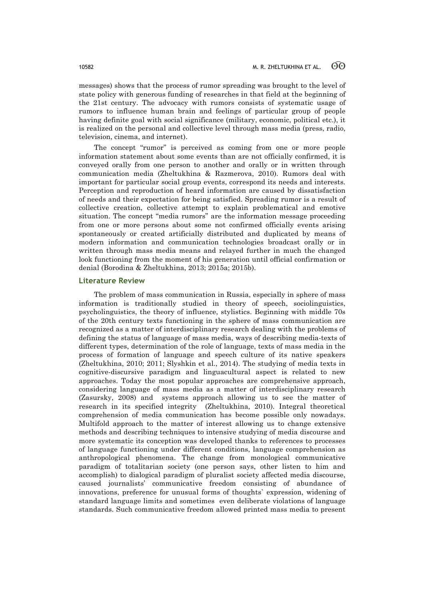messages) shows that the process of rumor spreading was brought to the level of state policy with generous funding of researches in that field at the beginning of the 21st century. The advocacy with rumors consists of systematic usage of rumors to influence human brain and feelings of particular group of people having definite goal with social significance (military, economic, political etc.), it is realized on the personal and collective level through mass media (press, radio, television, cinema, and internet).

The concept "rumor" is perceived as coming from one or more people information statement about some events than are not officially confirmed, it is conveyed orally from one person to another and orally or in written through communication media (Zheltukhina & Razmerova, 2010). Rumors deal with important for particular social group events, correspond its needs and interests. Perception and reproduction of heard information are caused by dissatisfaction of needs and their expectation for being satisfied. Spreading rumor is a result of collective creation, collective attempt to explain problematical and emotive situation. The concept "media rumors" are the information message proceeding from one or more persons about some not confirmed officially events arising spontaneously or created artificially distributed and duplicated by means of modern information and communication technologies broadcast orally or in written through mass media means and relayed further in much the changed look functioning from the moment of his generation until official confirmation or denial (Borodina & Zheltukhina, 2013; 2015a; 2015b).

### **Literature Review**

The problem of mass communication in Russia, especially in sphere of mass information is traditionally studied in theory of speech, sociolinguistics, psycholinguistics, the theory of influence, stylistics. Beginning with middle 70s of the 20th century texts functioning in the sphere of mass communication are recognized as a matter of interdisciplinary research dealing with the problems of defining the status of language of mass media, ways of describing media-texts of different types, determination of the role of language, texts of mass media in the process of formation of language and speech culture of its native speakers (Zheltukhina, 2010; 2011; Slyshkin et al., 2014). The studying of media texts in cognitive-discursive paradigm and linguacultural aspect is related to new approaches. Today the most popular approaches are comprehensive approach, considering language of mass media as a matter of interdisciplinary research (Zasursky, 2008) and systems approach allowing us to see the matter of research in its specified integrity (Zheltukhina, 2010). Integral theoretical comprehension of media communication has become possible only nowadays. Multifold approach to the matter of interest allowing us to change extensive methods and describing techniques to intensive studying of media discourse and more systematic its conception was developed thanks to references to processes of language functioning under different conditions, language comprehension as anthropological phenomena. The change from monological communicative paradigm of totalitarian society (one person says, other listen to him and accomplish) to dialogical paradigm of pluralist society affected media discourse, caused journalists' communicative freedom consisting of abundance of innovations, preference for unusual forms of thoughts` expression, widening of standard language limits and sometimes even deliberate violations of language standards. Such communicative freedom allowed printed mass media to present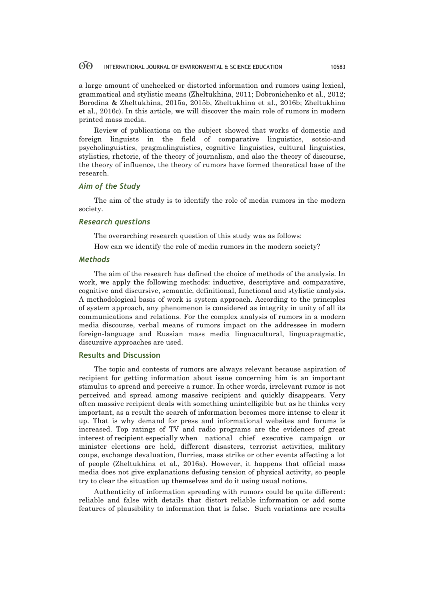a large amount of unchecked or distorted information and rumors using lexical, grammatical and stylistic means (Zheltukhina, 2011; Dobronichenko et al., 2012; Borodina & Zheltukhina, 2015a, 2015b, Zheltukhina et al., 2016b; Zheltukhina et al., 2016c). In this article, we will discover the main role of rumors in modern printed mass media.

Review of publications on the subject showed that works of domestic and foreign linguists in the field of comparative linguistics, sotsio-and psycholinguistics, pragmalinguistics, cognitive linguistics, cultural linguistics, stylistics, rhetoric, of the theory of journalism, and also the theory of discourse, the theory of influence, the theory of rumors have formed theoretical base of the research.

### *Aim of the Study*

The aim of the study is to identify the role of media rumors in the modern society.

### *Research questions*

The overarching research question of this study was as follows:

How can we identify the role of media rumors in the modern society?

### *Methods*

The aim of the research has defined the choice of methods of the analysis. In work, we apply the following methods: inductive, descriptive and comparative, cognitive and discursive, semantic, definitional, functional and stylistic analysis. A methodological basis of work is system approach. According to the principles of system approach, any phenomenon is considered as integrity in unity of all its communications and relations. For the complex analysis of rumors in a modern media discourse, verbal means of rumors impact on the addressee in modern foreign-language and Russian mass media linguacultural, linguapragmatic, discursive approaches are used.

## **Results and Discussion**

The topic and contests of rumors are always relevant because aspiration of recipient for getting information about issue concerning him is an important stimulus to spread and perceive a rumor. In other words, irrelevant rumor is not perceived and spread among massive recipient and quickly disappears. Very often massive recipient deals with something unintelligible but as he thinks very important, as a result the search of information becomes more intense to clear it up. That is why demand for press and informational websites and forums is increased. Top ratings of TV and radio programs are the evidences of great interest of recipient especially when national chief executive campaign or minister elections are held, different disasters, terrorist activities, military coups, exchange devaluation, flurries, mass strike or other events affecting a lot of people (Zheltukhina et al., 2016a). However, it happens that official mass media does not give explanations defusing tension of physical activity, so people try to clear the situation up themselves and do it using usual notions.

Authenticity of information spreading with rumors could be quite different: reliable and false with details that distort reliable information or add some features of plausibility to information that is false. Such variations are results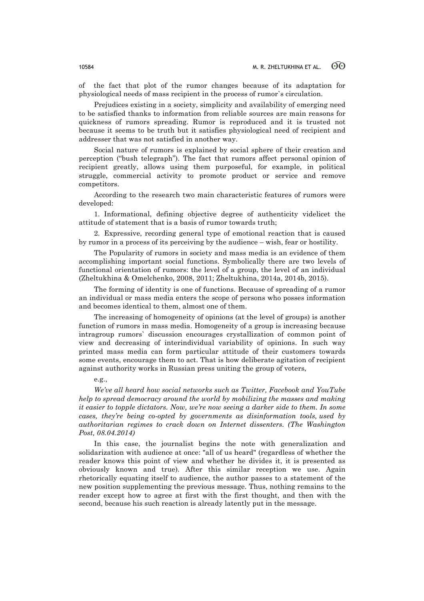of the fact that plot of the rumor changes because of its adaptation for physiological needs of mass recipient in the process of rumor`s circulation.

Prejudices existing in a society, simplicity and availability of emerging need to be satisfied thanks to information from reliable sources are main reasons for quickness of rumors spreading. Rumor is reproduced and it is trusted not because it seems to be truth but it satisfies physiological need of recipient and addresser that was not satisfied in another way.

Social nature of rumors is explained by social sphere of their creation and perception ("bush telegraph"). The fact that rumors affect personal opinion of recipient greatly, allows using them purposeful, for example, in political struggle, commercial activity to promote product or service and remove competitors.

According to the research two main characteristic features of rumors were developed:

1. Informational, defining objective degree of authenticity videlicet the attitude of statement that is a basis of rumor towards truth;

2. Expressive, recording general type of emotional reaction that is caused by rumor in a process of its perceiving by the audience – wish, fear or hostility.

The Popularity of rumors in society and mass media is an evidence of them accomplishing important social functions. Symbolically there are two levels of functional orientation of rumors: the level of a group, the level of an individual (Zheltukhina & Omelchenko, 2008, 2011; Zheltukhina, 2014a, 2014b, 2015).

The forming of identity is one of functions. Because of spreading of a rumor an individual or mass media enters the scope of persons who posses information and becomes identical to them, almost one of them.

The increasing of homogeneity of opinions (at the level of groups) is another function of rumors in mass media. Homogeneity of a group is increasing because intragroup rumors` discussion encourages crystallization of common point of view and decreasing of interindividual variability of opinions. In such way printed mass media can form particular attitude of their customers towards some events, encourage them to act. That is how deliberate agitation of recipient against authority works in Russian press uniting the group of voters,

### e.g.,

*We've all heard how social networks such as Twitter, Facebook and YouTube help to spread democracy around the world by mobilizing the masses and making it easier to topple dictators. Now, we're now seeing a darker side to them. In some cases, they're being co-opted by governments as disinformation tools, used by authoritarian regimes to crack down on Internet dissenters. (The Washington Post, 08.04.2014)* 

In this case, the journalist begins the note with generalization and solidarization with audience at once: "all of us heard" (regardless of whether the reader knows this point of view and whether he divides it, it is presented as obviously known and true). After this similar reception we use. Again rhetorically equating itself to audience, the author passes to a statement of the new position supplementing the previous message. Thus, nothing remains to the reader except how to agree at first with the first thought, and then with the second, because his such reaction is already latently put in the message.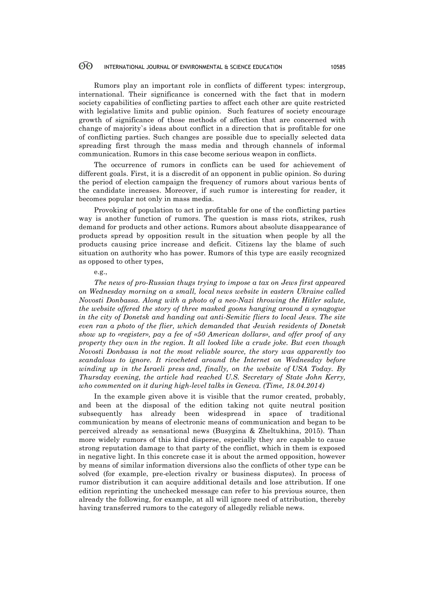Rumors play an important role in conflicts of different types: intergroup, international. Their significance is concerned with the fact that in modern society capabilities of conflicting parties to affect each other are quite restricted with legislative limits and public opinion. Such features of society encourage growth of significance of those methods of affection that are concerned with change of majority`s ideas about conflict in a direction that is profitable for one of conflicting parties. Such changes are possible due to specially selected data spreading first through the mass media and through channels of informal communication. Rumors in this case become serious weapon in conflicts.

The occurrence of rumors in conflicts can be used for achievement of different goals. First, it is a discredit of an opponent in public opinion. So during the period of election campaign the frequency of rumors about various bents of the candidate increases. Moreover, if such rumor is interesting for reader, it becomes popular not only in mass media.

Provoking of population to act in profitable for one of the conflicting parties way is another function of rumors. The question is mass riots, strikes, rush demand for products and other actions. Rumors about absolute disappearance of products spread by opposition result in the situation when people by all the products causing price increase and deficit. Citizens lay the blame of such situation on authority who has power. Rumors of this type are easily recognized as opposed to other types,

### e.g.,

*The news of pro-Russian thugs trying to impose a tax on Jews first appeared on Wednesday morning on a small, local news website in eastern Ukraine called Novosti Donbassa. Along with a photo of a neo-Nazi throwing the Hitler salute, the website offered the story of three masked goons hanging around a synagogue in the city of Donetsk and handing out anti-Semitic fliers to local Jews. The site even ran a photo of the flier, which demanded that Jewish residents of Donetsk show up to «register», pay a fee of «50 American dollars», and offer proof of any property they own in the region. It all looked like a crude joke. But even though Novosti Donbassa is not the most reliable source, the story was apparently too scandalous to ignore. It ricocheted around the Internet on Wednesday before winding up in the Israeli press and, finally, on the website of USA Today. By Thursday evening, the article had reached U.S. Secretary of State John Kerry, who commented on it during high-level talks in Geneva. (Time, 18.04.2014)* 

In the example given above it is visible that the rumor created, probably, and been at the disposal of the edition taking not quite neutral position subsequently has already been widespread in space of traditional communication by means of electronic means of communication and began to be perceived already as sensational news (Busygina & Zheltukhina, 2015). Than more widely rumors of this kind disperse, especially they are capable to cause strong reputation damage to that party of the conflict, which in them is exposed in negative light. In this concrete case it is about the armed opposition, however by means of similar information diversions also the conflicts of other type can be solved (for example, pre-election rivalry or business disputes). In process of rumor distribution it can acquire additional details and lose attribution. If one edition reprinting the unchecked message can refer to his previous source, then already the following, for example, at all will ignore need of attribution, thereby having transferred rumors to the category of allegedly reliable news.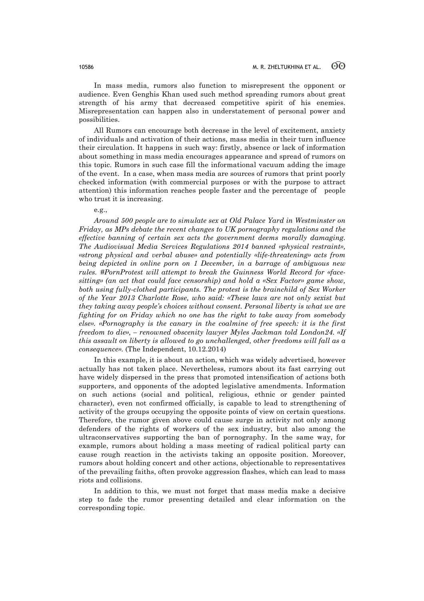In mass media, rumors also function to misrepresent the opponent or audience. Even Genghis Khan used such method spreading rumors about great strength of his army that decreased competitive spirit of his enemies. Misrepresentation can happen also in understatement of personal power and possibilities.

All Rumors can encourage both decrease in the level of excitement, anxiety of individuals and activation of their actions, mass media in their turn influence their circulation. It happens in such way: firstly, absence or lack of information about something in mass media encourages appearance and spread of rumors on this topic. Rumors in such case fill the informational vacuum adding the image of the event. In a case, when mass media are sources of rumors that print poorly checked information (with commercial purposes or with the purpose to attract attention) this information reaches people faster and the percentage of people who trust it is increasing.

e.g.,

*Around 500 people are to simulate sex at Old Palace Yard in Westminster on Friday, as MPs debate the recent changes to UK pornography regulations and the effective banning of certain sex acts the government deems morally damaging. The Audiovisual Media Services Regulations 2014 banned «physical restraint», «strong physical and verbal abuse» and potentially «life-threatening» acts from being depicted in online porn on 1 December, in a barrage of ambiguous new rules. #PornProtest will attempt to break the Guinness World Record for «facesitting» (an act that could face censorship) and hold a «Sex Factor» game show, both using fully-clothed participants. The protest is the brainchild of Sex Worker of the Year 2013 Charlotte Rose, who said: «These laws are not only sexist but they taking away people's choices without consent. Personal liberty is what we are fighting for on Friday which no one has the right to take away from somebody else». «Pornography is the canary in the coalmine of free speech: it is the first freedom to die», – renowned obscenity lawyer Myles Jackman told London24. «If this assault on liberty is allowed to go unchallenged, other freedoms will fall as a consequence».* (The Independent, 10.12.2014)

In this example, it is about an action, which was widely advertised, however actually has not taken place. Nevertheless, rumors about its fast carrying out have widely dispersed in the press that promoted intensification of actions both supporters, and opponents of the adopted legislative amendments. Information on such actions (social and political, religious, ethnic or gender painted character), even not confirmed officially, is capable to lead to strengthening of activity of the groups occupying the opposite points of view on certain questions. Therefore, the rumor given above could cause surge in activity not only among defenders of the rights of workers of the sex industry, but also among the ultraconservatives supporting the ban of pornography. In the same way, for example, rumors about holding a mass meeting of radical political party can cause rough reaction in the activists taking an opposite position. Moreover, rumors about holding concert and other actions, objectionable to representatives of the prevailing faiths, often provoke aggression flashes, which can lead to mass riots and collisions.

In addition to this, we must not forget that mass media make a decisive step to fade the rumor presenting detailed and clear information on the corresponding topic.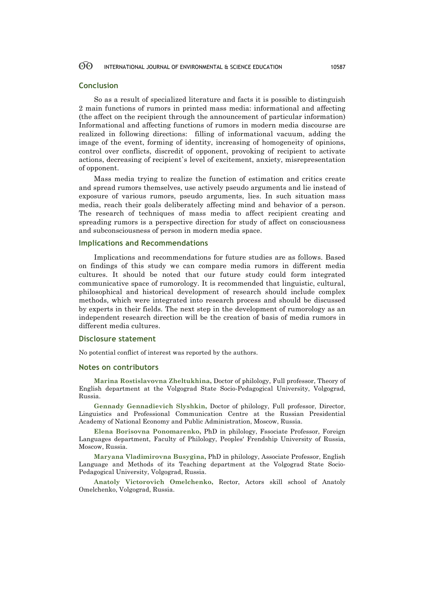### **Conclusion**

So as a result of specialized literature and facts it is possible to distinguish 2 main functions of rumors in printed mass media: informational and affecting (the affect on the recipient through the announcement of particular information) Informational and affecting functions of rumors in modern media discourse are realized in following directions: filling of informational vacuum, adding the image of the event, forming of identity, increasing of homogeneity of opinions, control over conflicts, discredit of opponent, provoking of recipient to activate actions, decreasing of recipient`s level of excitement, anxiety, misrepresentation of opponent.

Mass media trying to realize the function of estimation and critics create and spread rumors themselves, use actively pseudo arguments and lie instead of exposure of various rumors, pseudo arguments, lies. In such situation mass media, reach their goals deliberately affecting mind and behavior of a person. The research of techniques of mass media to affect recipient creating and spreading rumors is a perspective direction for study of affect on consciousness and subconsciousness of person in modern media space.

### **Implications and Recommendations**

Implications and recommendations for future studies are as follows. Based on findings of this study we can compare media rumors in different media cultures. It should be noted that our future study could form integrated communicative space of rumorology. It is recommended that linguistic, cultural, philosophical and historical development of research should include complex methods, which were integrated into research process and should be discussed by experts in their fields. The next step in the development of rumorology as an independent research direction will be the creation of basis of media rumors in different media cultures.

### **Disclosure statement**

No potential conflict of interest was reported by the authors.

### **Notes on contributors**

**Marina Rostislavovna Zheltukhina,** Doctor of philology, Full professor, Theory of English department at the Volgograd State Socio-Pedagogical University, Volgograd, Russia.

**Gennady Gennadievich Slyshkin,** Doctor of philology, Full professor, Director, Linguistics and Professional Communication Centre at the Russian Presidential Academy of National Economy and Public Administration, Moscow, Russia.

**Elena Borisovna Ponomarenko,** PhD in philology, Fssociate Professor, Foreign Languages department, Faculty of Philology, Peoples' Frendship University of Russia, Moscow, Russia.

**Maryana Vladimirovna Busygina,** PhD in philology, Associate Professor, English Language and Methods of its Teaching department at the Volgograd State Socio-Pedagogical University, Volgograd, Russia.

**Anatoly Victorovich Omelchenko,** Rector, Actors skill school of Anatoly Omelchenko, Volgograd, Russia.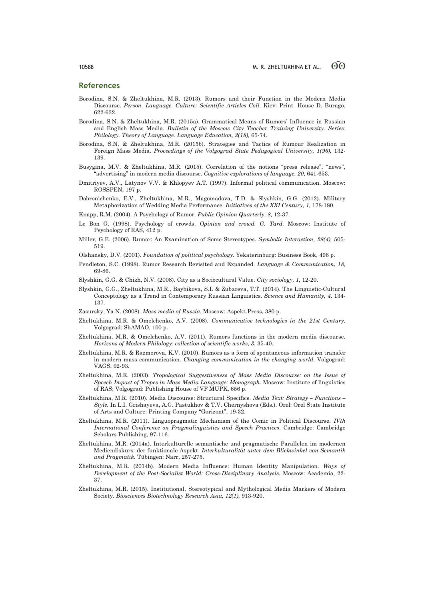### **References**

- Borodina, S.N. & Zheltukhina, M.R. (2013). Rumors and their Function in the Modern Media Discourse. *Person. Language. Culture: Scientific Articles Coll.* Kiev: Print. House D. Burago, 622-632.
- Borodina, S.N. & Zheltukhina, M.R. (2015a). Grammatical Means of Rumors' Influence in Russian and English Mass Media. *Bulletin of the Moscow City Teacher Training University. Series: Philology. Theory of Language. Language Education, 2(18),* 65-74.
- Borodina, S.N. & Zheltukhina, M.R. (2015b). Strategies and Tactics of Rumour Realization in Foreign Mass Media. *Proceedings of the Volgograd State Pedagogical University, 1(96),* 132- 139.
- Busygina, M.V. & Zheltukhina, M.R. (2015). Correlation of the notions "press release", "news", "advertising" in modern media discourse. *Cognitive explorations of language, 20*, 641-653.
- Dmitriyev, A.V., Latynov V.V. & Khlopyev A.T. (1997). Informal political communication. Moscow: ROSSPEN, 197 p.
- Dobronichenko, E.V., Zheltukhina, M.R., Magomadova, T.D. & Slyshkin, G.G. (2012). Military Metaphorization of Wedding Media Performance. *Initiatives of the XXI Century, 1,* 178-180.
- Knapp, R.M. (2004). A Psychology of Rumor. *Public Opinion Quarterly, 8,* 12-37.
- Le Bon G. (1998). Psychology of crowds. *Opinion and crowd. G. Tard.* Moscow: Institute of Psychology of RAS, 412 p.
- Miller, G.E. (2006). Rumor: An Examination of Some Stereotypes. *Symbolic Interaction, 28(4),* 505- 519.
- Olshansky, D.V. (2001). *Foundation of political psychology.* Yekaterinburg: Business Book, 496 p.
- Pendleton, S.C. (1998). Rumor Research Revisited and Expanded. *Language & Communication*, *18,* 69-86.
- Slyshkin, G.G. & Chizh, N.V. (2008). City as a Sociocultural Value. *City sociology, 1*, 12-20.
- Slyshkin, G.G., Zheltukhina, M.R., Baybikova, S.I. & Zubareva, T.T. (2014). The Linguistic-Cultural Conceptology as a Trend in Contemporary Russian Linguistics. *Science and Humanity, 4,* 134- 137.
- Zasursky, Ya.N. (2008). *Mass media of Russia.* Moscow: Aspekt-Press, 380 p.
- Zheltukhina, M.R. & Omelchenko, A.V. (2008). *Communicative technologies in the 21st Century.* Volgograd: ShAMAO, 100 p.
- Zheltukhina, M.R. & Omelchenko, A.V. (2011). Rumors functions in the modern media discourse. *Horizons of Modern Philology: collection of scientific works, 3*, 35-40.
- Zheltukhina, M.R. & Razmerova, K.V. (2010). Rumors as a form of spontaneous information transfer in modern mass communication. *Changing communication in the changing world.* Volgograd: VAGS, 92-93.
- Zheltukhina, M.R. (2003). *Tropological Suggestiveness of Mass Media Discourse: on the Issue of Speech Impact of Tropes in Mass Media Language: Monograph.* Мoscow: Institute of linguistics of RAS; Volgograd: Publishing House of VF MUPK, 656 p.
- Zheltukhina, M.R. (2010). Media Discourse: Structural Specifics. *Media Text: Strategy – Functions – Style.* In L.I. Grishayeva, A.G. Pastukhov & T.V. Chernyshova (Eds.). Orel: Orel State Institute of Arts and Culture: Printing Company "Gorizont", 19-32.
- Zheltukhina, M.R. (2011). Linguopragmatic Mechanism of the Comic in Political Discourse. *IVth International Conference on Pragmalinguistics and Speech Practices*. Cambridge: Cambridge Scholars Publishing, 97-116.
- Zheltukhina, M.R. (2014a). Interkulturelle semantische und pragmatische Parallelen im modernen Mediendiskurs: der funktionale Aspekt. *Interkulturalität unter dem Blickwinkel von Semantik und Pragmatik.* Tübingen: Narr, 257-275.
- Zheltukhina, M.R. (2014b). Modern Media İnfluence: Human İdentity Manipulation. *Ways of Development of the Post-Socialist World: Cross-Disciplinary Analysis.* Moscow: Academia, 22- 37.
- Zheltukhina, M.R. (2015). Institutional, Stereotypical and Mythological Media Markers of Modern Society. *Biosciences Biotechnology Research Asia, 12(1),* 913-920.